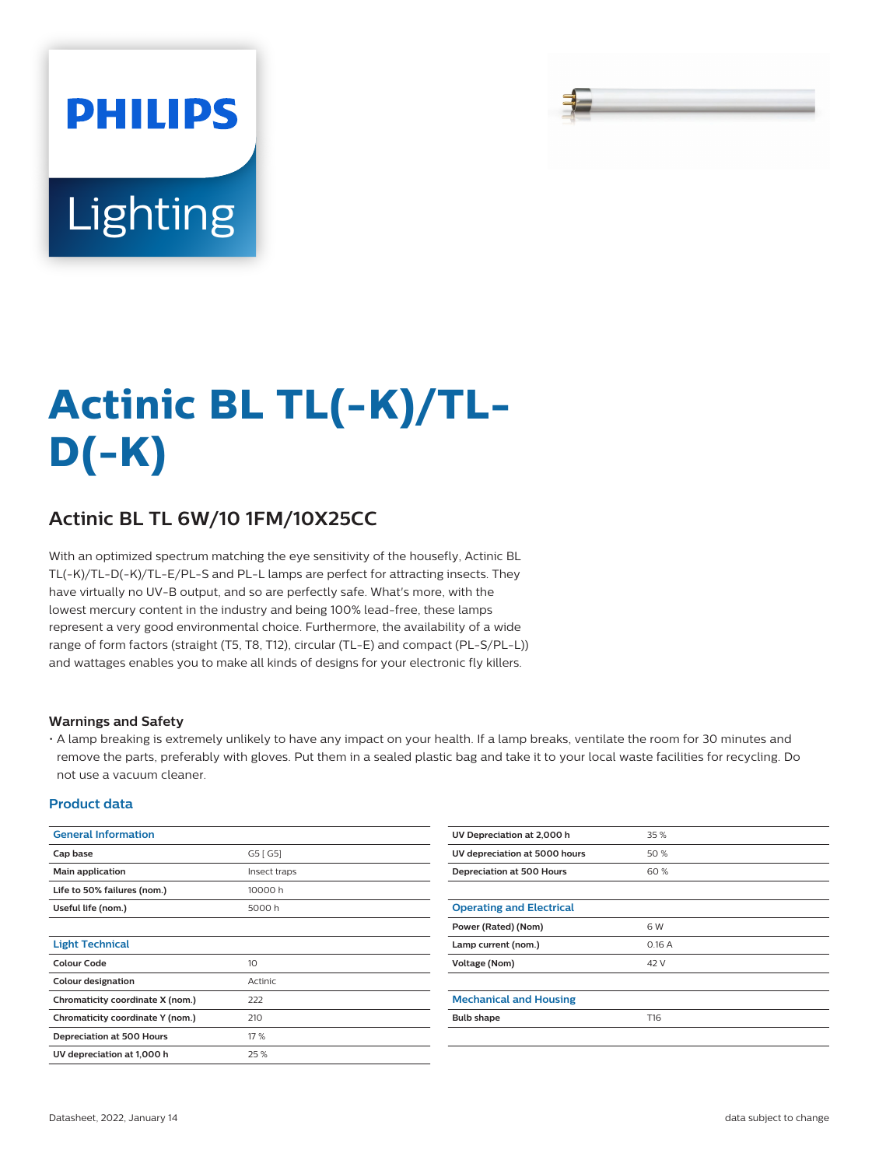# **PHILIPS** Lighting

# **Actinic BL TL(-K)/TL-D(-K)**

## **Actinic BL TL 6W/10 1FM/10X25CC**

With an optimized spectrum matching the eye sensitivity of the housefly, Actinic BL TL(-K)/TL-D(-K)/TL-E/PL-S and PL-L lamps are perfect for attracting insects. They have virtually no UV-B output, and so are perfectly safe. What's more, with the lowest mercury content in the industry and being 100% lead-free, these lamps represent a very good environmental choice. Furthermore, the availability of a wide range of form factors (straight (T5, T8, T12), circular (TL-E) and compact (PL-S/PL-L)) and wattages enables you to make all kinds of designs for your electronic fly killers.

#### **Warnings and Safety**

• A lamp breaking is extremely unlikely to have any impact on your health. If a lamp breaks, ventilate the room for 30 minutes and remove the parts, preferably with gloves. Put them in a sealed plastic bag and take it to your local waste facilities for recycling. Do not use a vacuum cleaner.

#### **Product data**

| <b>General Information</b>       |              | UV Depreciation at 2,000 h      | 35 %  |  |  |
|----------------------------------|--------------|---------------------------------|-------|--|--|
| Cap base                         | G5 [G5]      | UV depreciation at 5000 hours   | 50%   |  |  |
| Main application                 | Insect traps | Depreciation at 500 Hours       | 60%   |  |  |
| Life to 50% failures (nom.)      | 10000 h      |                                 |       |  |  |
| Useful life (nom.)               | 5000 h       | <b>Operating and Electrical</b> |       |  |  |
|                                  |              | Power (Rated) (Nom)             | 6 W   |  |  |
| <b>Light Technical</b>           |              | Lamp current (nom.)             | 0.16A |  |  |
| <b>Colour Code</b>               | 10           | Voltage (Nom)                   | 42 V  |  |  |
| <b>Colour designation</b>        | Actinic      |                                 |       |  |  |
| Chromaticity coordinate X (nom.) | 222          | <b>Mechanical and Housing</b>   |       |  |  |
| Chromaticity coordinate Y (nom.) | 210          | <b>Bulb shape</b>               | T16   |  |  |
| Depreciation at 500 Hours        | 17 %         |                                 |       |  |  |
| UV depreciation at 1,000 h       | 25 %         |                                 |       |  |  |